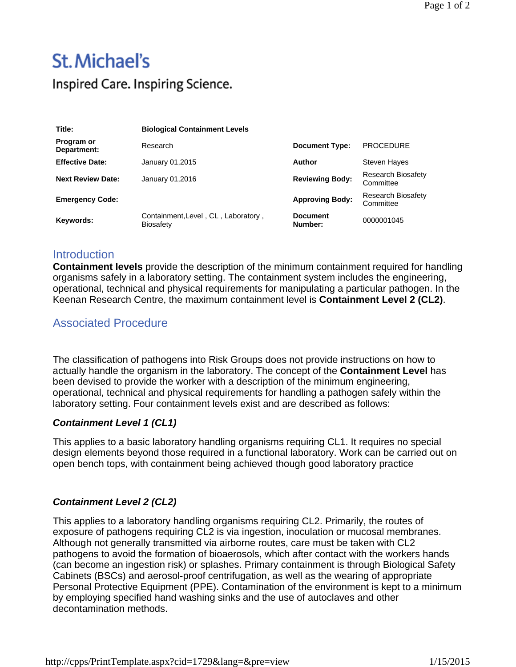# **St. Michael's** Inspired Care. Inspiring Science.

| Title:                    | <b>Biological Containment Levels</b>                    |                            |                                        |
|---------------------------|---------------------------------------------------------|----------------------------|----------------------------------------|
| Program or<br>Department: | Research                                                | <b>Document Type:</b>      | <b>PROCEDURE</b>                       |
| <b>Effective Date:</b>    | January 01,2015                                         | Author                     | <b>Steven Hayes</b>                    |
| <b>Next Review Date:</b>  | January 01,2016                                         | <b>Reviewing Body:</b>     | <b>Research Biosafety</b><br>Committee |
| <b>Emergency Code:</b>    |                                                         | <b>Approving Body:</b>     | <b>Research Biosafety</b><br>Committee |
| Keywords:                 | Containment, Level, CL, Laboratory,<br><b>Biosafety</b> | <b>Document</b><br>Number: | 0000001045                             |

### **Introduction**

**Containment levels** provide the description of the minimum containment required for handling organisms safely in a laboratory setting. The containment system includes the engineering, operational, technical and physical requirements for manipulating a particular pathogen. In the Keenan Research Centre, the maximum containment level is **Containment Level 2 (CL2)**.

## Associated Procedure

The classification of pathogens into Risk Groups does not provide instructions on how to actually handle the organism in the laboratory. The concept of the **Containment Level** has been devised to provide the worker with a description of the minimum engineering, operational, technical and physical requirements for handling a pathogen safely within the laboratory setting. Four containment levels exist and are described as follows:

#### *Containment Level 1 (CL1)*

This applies to a basic laboratory handling organisms requiring CL1. It requires no special design elements beyond those required in a functional laboratory. Work can be carried out on open bench tops, with containment being achieved though good laboratory practice

#### *Containment Level 2 (CL2)*

This applies to a laboratory handling organisms requiring CL2. Primarily, the routes of exposure of pathogens requiring CL2 is via ingestion, inoculation or mucosal membranes. Although not generally transmitted via airborne routes, care must be taken with CL2 pathogens to avoid the formation of bioaerosols, which after contact with the workers hands (can become an ingestion risk) or splashes. Primary containment is through Biological Safety Cabinets (BSCs) and aerosol-proof centrifugation, as well as the wearing of appropriate Personal Protective Equipment (PPE). Contamination of the environment is kept to a minimum by employing specified hand washing sinks and the use of autoclaves and other decontamination methods.